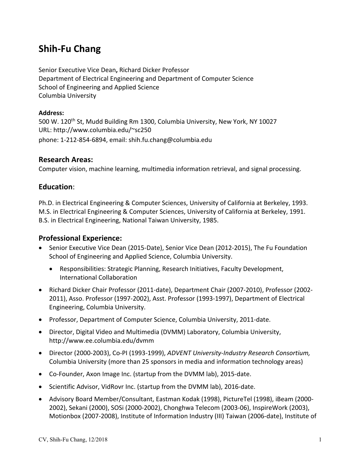# **Shih‐Fu Chang**

Senior Executive Vice Dean**,** Richard Dicker Professor Department of Electrical Engineering and Department of Computer Science School of Engineering and Applied Science Columbia University

#### **Address:**

500 W. 120<sup>th</sup> St, Mudd Building Rm 1300, Columbia University, New York, NY 10027 URL: http://www.columbia.edu/~sc250 phone: 1‐212‐854‐6894, email: shih.fu.chang@columbia.edu

### **Research Areas:**

Computer vision, machine learning, multimedia information retrieval, and signal processing.

## **Education**:

Ph.D. in Electrical Engineering & Computer Sciences, University of California at Berkeley, 1993. M.S. in Electrical Engineering & Computer Sciences, University of California at Berkeley, 1991. B.S. in Electrical Engineering, National Taiwan University, 1985.

## **Professional Experience:**

- Senior Executive Vice Dean (2015‐Date), Senior Vice Dean (2012‐2015), The Fu Foundation School of Engineering and Applied Science, Columbia University.
	- Responsibilities: Strategic Planning, Research Initiatives, Faculty Development, International Collaboration
- Richard Dicker Chair Professor (2011‐date), Department Chair (2007‐2010), Professor (2002‐ 2011), Asso. Professor (1997‐2002), Asst. Professor (1993‐1997), Department of Electrical Engineering, Columbia University.
- Professor, Department of Computer Science, Columbia University, 2011-date.
- Director, Digital Video and Multimedia (DVMM) Laboratory, Columbia University, http://www.ee.columbia.edu/dvmm
- Director (2000‐2003), Co‐PI (1993‐1999), *ADVENT University‐Industry Research Consortium,*  Columbia University (more than 25 sponsors in media and information technology areas)
- Co-Founder, Axon Image Inc. (startup from the DVMM lab), 2015-date.
- Scientific Advisor, VidRovr Inc. (startup from the DVMM lab), 2016-date.
- Advisory Board Member/Consultant, Eastman Kodak (1998), PictureTel (1998), iBeam (2000‐ 2002), Sekani (2000), SOSi (2000‐2002), Chonghwa Telecom (2003‐06), InspireWork (2003), Motionbox (2007‐2008), Institute of Information Industry (III) Taiwan (2006‐date), Institute of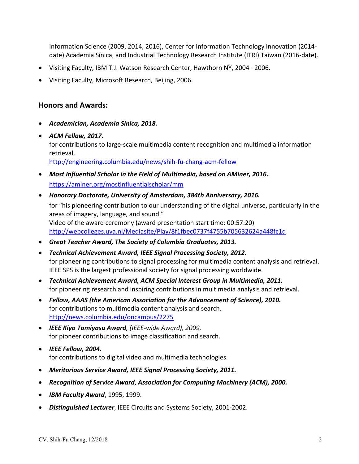Information Science (2009, 2014, 2016), Center for Information Technology Innovation (2014‐ date) Academia Sinica, and Industrial Technology Research Institute (ITRI) Taiwan (2016‐date).

- Visiting Faculty, IBM T.J. Watson Research Center, Hawthorn NY, 2004 –2006.
- Visiting Faculty, Microsoft Research, Beijing, 2006.

### **Honors and Awards:**

- *Academician, Academia Sinica, 2018.*
- *ACM Fellow, 2017.* for contributions to large-scale multimedia content recognition and multimedia information retrieval. http://engineering.columbia.edu/news/shih‐fu‐chang‐acm‐fellow
- *Most Influential Scholar in the Field of Multimedia, based on AMiner, 2016.*  https://aminer.org/mostinfluentialscholar/mm
- *Honorary Doctorate, University of Amsterdam, 384th Anniversary, 2016.*  for "his pioneering contribution to our understanding of the digital universe, particularly in the areas of imagery, language, and sound." Video of the award ceremony (award presentation start time: 00:57:20) http://webcolleges.uva.nl/Mediasite/Play/8f1fbec0737f4755b705632624a448fc1d
- *Great Teacher Award, The Society of Columbia Graduates, 2013.*
- *Technical Achievement Award, IEEE Signal Processing Society, 2012.* for pioneering contributions to signal processing for multimedia content analysis and retrieval. IEEE SPS is the largest professional society for signal processing worldwide.
- *Technical Achievement Award, ACM Special Interest Group in Multimedia, 2011.*  for pioneering research and inspiring contributions in multimedia analysis and retrieval.
- *Fellow, AAAS (the American Association for the Advancement of Science), 2010.* for contributions to multimedia content analysis and search. http://news.columbia.edu/oncampus/2275
- *IEEE Kiyo Tomiyasu Award, (IEEE‐wide Award), 2009.* for pioneer contributions to image classification and search.
- *IEEE Fellow, 2004.* for contributions to digital video and multimedia technologies.
- *Meritorious Service Award, IEEE Signal Processing Society, 2011.*
- *Recognition of Service Award*, *Association for Computing Machinery (ACM), 2000.*
- *IBM Faculty Award*, 1995, 1999.
- *Distinguished Lecturer*, IEEE Circuits and Systems Society, 2001‐2002.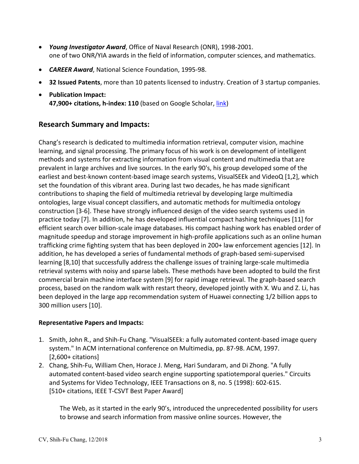- *Young Investigator Award*, Office of Naval Research (ONR), 1998‐2001. one of two ONR/YIA awards in the field of information, computer sciences, and mathematics.
- *CAREER Award*, National Science Foundation, 1995‐98.
- **32 Issued Patents**, more than 10 patents licensed to industry. Creation of 3 startup companies.
- **Publication Impact: 47,900+ citations, h‐index: 110** (based on Google Scholar, link)

## **Research Summary and Impacts:**

Chang's research is dedicated to multimedia information retrieval, computer vision, machine learning, and signal processing. The primary focus of his work is on development of intelligent methods and systems for extracting information from visual content and multimedia that are prevalent in large archives and live sources. In the early 90's, his group developed some of the earliest and best-known content-based image search systems, VisualSEEk and VideoQ [1,2], which set the foundation of this vibrant area. During last two decades, he has made significant contributions to shaping the field of multimedia retrieval by developing large multimedia ontologies, large visual concept classifiers, and automatic methods for multimedia ontology construction [3‐6]. These have strongly influenced design of the video search systems used in practice today [7]. In addition, he has developed influential compact hashing techniques [11] for efficient search over billion‐scale image databases. His compact hashing work has enabled order of magnitude speedup and storage improvement in high‐profile applications such as an online human trafficking crime fighting system that has been deployed in 200+ law enforcement agencies [12]. In addition, he has developed a series of fundamental methods of graph‐based semi‐supervised learning [8,10] that successfully address the challenge issues of training large‐scale multimedia retrieval systems with noisy and sparse labels. These methods have been adopted to build the first commercial brain machine interface system [9] for rapid image retrieval. The graph‐based search process, based on the random walk with restart theory, developed jointly with X. Wu and Z. Li, has been deployed in the large app recommendation system of Huawei connecting 1/2 billion apps to 300 million users [10].

#### **Representative Papers and Impacts:**

- 1. Smith, John R., and Shih‐Fu Chang. "VisualSEEk: a fully automated content‐based image query system." In ACM international conference on Multimedia, pp. 87‐98. ACM, 1997. [2,600+ citations]
- 2. Chang, Shih‐Fu, William Chen, Horace J. Meng, Hari Sundaram, and Di Zhong. "A fully automated content‐based video search engine supporting spatiotemporal queries." Circuits and Systems for Video Technology, IEEE Transactions on 8, no. 5 (1998): 602‐615. [510+ citations, IEEE T‐CSVT Best Paper Award]

The Web, as it started in the early 90's, introduced the unprecedented possibility for users to browse and search information from massive online sources. However, the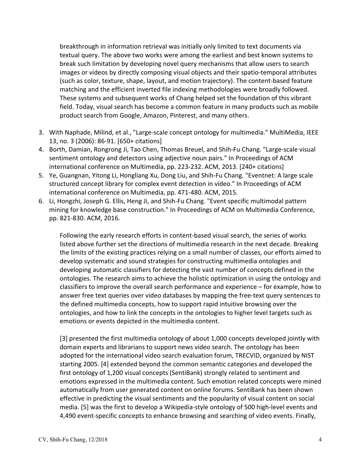breakthrough in information retrieval was initially only limited to text documents via textual query. The above two works were among the earliest and best known systems to break such limitation by developing novel query mechanisms that allow users to search images or videos by directly composing visual objects and their spatio‐temporal attributes (such as color, texture, shape, layout, and motion trajectory). The content‐based feature matching and the efficient inverted file indexing methodologies were broadly followed. These systems and subsequent works of Chang helped set the foundation of this vibrant field. Today, visual search has become a common feature in many products such as mobile product search from Google, Amazon, Pinterest, and many others.

- 3. With Naphade, Milind, et al., "Large‐scale concept ontology for multimedia." MultiMedia, IEEE 13, no. 3 (2006): 86‐91. [650+ citations]
- 4. Borth, Damian, Rongrong Ji, Tao Chen, Thomas Breuel, and Shih‐Fu Chang. "Large‐scale visual sentiment ontology and detectors using adjective noun pairs." In Proceedings of ACM international conference on Multimedia, pp. 223‐232. ACM, 2013. [240+ citations]
- 5. Ye, Guangnan, Yitong Li, Hongliang Xu, Dong Liu, and Shih-Fu Chang. "Eventnet: A large scale structured concept library for complex event detection in video." In Proceedings of ACM international conference on Multimedia, pp. 471‐480. ACM, 2015.
- 6. Li, Hongzhi, Joseph G. Ellis, Heng Ji, and Shih‐Fu Chang. "Event specific multimodal pattern mining for knowledge base construction." In Proceedings of ACM on Multimedia Conference, pp. 821‐830. ACM, 2016.

Following the early research efforts in content‐based visual search, the series of works listed above further set the directions of multimedia research in the next decade. Breaking the limits of the existing practices relying on a small number of classes, our efforts aimed to develop systematic and sound strategies for constructing multimedia ontologies and developing automatic classifiers for detecting the vast number of concepts defined in the ontologies. The research aims to achieve the holistic optimization in using the ontology and classifiers to improve the overall search performance and experience – for example, how to answer free text queries over video databases by mapping the free-text query sentences to the defined multimedia concepts, how to support rapid intuitive browsing over the ontologies, and how to link the concepts in the ontologies to higher level targets such as emotions or events depicted in the multimedia content.

[3] presented the first multimedia ontology of about 1,000 concepts developed jointly with domain experts and librarians to support news video search. The ontology has been adopted for the international video search evaluation forum, TRECVID, organized by NIST starting 2005. [4] extended beyond the common semantic categories and developed the first ontology of 1,200 visual concepts (SentiBank) strongly related to sentiment and emotions expressed in the multimedia content. Such emotion related concepts were mined automatically from user generated content on online forums. SentiBank has been shown effective in predicting the visual sentiments and the popularity of visual content on social media. [5] was the first to develop a Wikipedia‐style ontology of 500 high‐level events and 4,490 event-specific concepts to enhance browsing and searching of video events. Finally,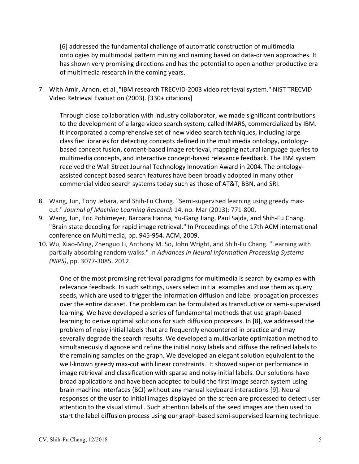[6] addressed the fundamental challenge of automatic construction of multimedia ontologies by multimodal pattern mining and naming based on data‐driven approaches. It has shown very promising directions and has the potential to open another productive era of multimedia research in the coming years.

7. With Amir, Arnon, et al.,"IBM research TRECVID‐2003 video retrieval system." NIST TRECVID Video Retrieval Evaluation (2003). [330+ citations]

Through close collaboration with industry collaborator, we made significant contributions to the development of a large video search system, called IMARS, commercialized by IBM. It incorporated a comprehensive set of new video search techniques, including large classifier libraries for detecting concepts defined in the multimedia ontology, ontology‐ based concept fusion, content‐based image retrieval, mapping natural language queries to multimedia concepts, and interactive concept‐based relevance feedback. The IBM system received the Wall Street Journal Technology Innovation Award in 2004. The ontology‐ assisted concept based search features have been broadly adopted in many other commercial video search systems today such as those of AT&T, BBN, and SRI.

- 8. Wang, Jun, Tony Jebara, and Shih-Fu Chang. "Semi-supervised learning using greedy maxcut." *Journal of Machine Learning Research* 14, no. Mar (2013): 771‐800.
- 9. Wang, Jun, Eric Pohlmeyer, Barbara Hanna, Yu‐Gang Jiang, Paul Sajda, and Shih‐Fu Chang. "Brain state decoding for rapid image retrieval." In Proceedings of the 17th ACM international conference on Multimedia, pp. 945‐954. ACM, 2009.
- 10. Wu, Xiao‐Ming, Zhenguo Li, Anthony M. So, John Wright, and Shih‐Fu Chang. "Learning with partially absorbing random walks." In *Advances in Neural Information Processing Systems (NIPS)*, pp. 3077‐3085. 2012.

One of the most promising retrieval paradigms for multimedia is search by examples with relevance feedback. In such settings, users select initial examples and use them as query seeds, which are used to trigger the information diffusion and label propagation processes over the entire dataset. The problem can be formulated as transductive or semi‐supervised learning. We have developed a series of fundamental methods that use graph‐based learning to derive optimal solutions for such diffusion processes. In [8], we addressed the problem of noisy initial labels that are frequently encountered in practice and may severally degrade the search results. We developed a multivariate optimization method to simultaneously diagnose and refine the initial noisy labels and diffuse the refined labels to the remaining samples on the graph. We developed an elegant solution equivalent to the well-known greedy max-cut with linear constraints. It showed superior performance in image retrieval and classification with sparse and noisy initial labels. Our solutions have broad applications and have been adopted to build the first image search system using brain machine interfaces (BCI) without any manual keyboard interactions [9]. Neural responses of the user to initial images displayed on the screen are processed to detect user attention to the visual stimuli. Such attention labels of the seed images are then used to start the label diffusion process using our graph‐based semi‐supervised learning technique.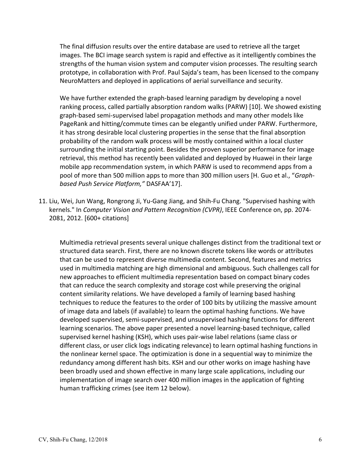The final diffusion results over the entire database are used to retrieve all the target images. The BCI image search system is rapid and effective as it intelligently combines the strengths of the human vision system and computer vision processes. The resulting search prototype, in collaboration with Prof. Paul Sajda's team, has been licensed to the company NeuroMatters and deployed in applications of aerial surveillance and security.

We have further extended the graph-based learning paradigm by developing a novel ranking process, called partially absorption random walks (PARW) [10]. We showed existing graph‐based semi‐supervised label propagation methods and many other models like PageRank and hitting/commute times can be elegantly unified under PARW. Furthermore, it has strong desirable local clustering properties in the sense that the final absorption probability of the random walk process will be mostly contained within a local cluster surrounding the initial starting point. Besides the proven superior performance for image retrieval, this method has recently been validated and deployed by Huawei in their large mobile app recommendation system, in which PARW is used to recommend apps from a pool of more than 500 million apps to more than 300 million users [H. Guo et al., "*Graph‐ based Push Service Platform,"* DASFAA'17].

11. Liu, Wei, Jun Wang, Rongrong Ji, Yu‐Gang Jiang, and Shih‐Fu Chang. "Supervised hashing with kernels." In *Computer Vision and Pattern Recognition (CVPR)*, IEEE Conference on, pp. 2074‐ 2081, 2012. [600+ citations]

Multimedia retrieval presents several unique challenges distinct from the traditional text or structured data search. First, there are no known discrete tokens like words or attributes that can be used to represent diverse multimedia content. Second, features and metrics used in multimedia matching are high dimensional and ambiguous. Such challenges call for new approaches to efficient multimedia representation based on compact binary codes that can reduce the search complexity and storage cost while preserving the original content similarity relations. We have developed a family of learning based hashing techniques to reduce the features to the order of 100 bits by utilizing the massive amount of image data and labels (if available) to learn the optimal hashing functions. We have developed supervised, semi‐supervised, and unsupervised hashing functions for different learning scenarios. The above paper presented a novel learning‐based technique, called supervised kernel hashing (KSH), which uses pair‐wise label relations (same class or different class, or user click logs indicating relevance) to learn optimal hashing functions in the nonlinear kernel space. The optimization is done in a sequential way to minimize the redundancy among different hash bits. KSH and our other works on image hashing have been broadly used and shown effective in many large scale applications, including our implementation of image search over 400 million images in the application of fighting human trafficking crimes (see item 12 below).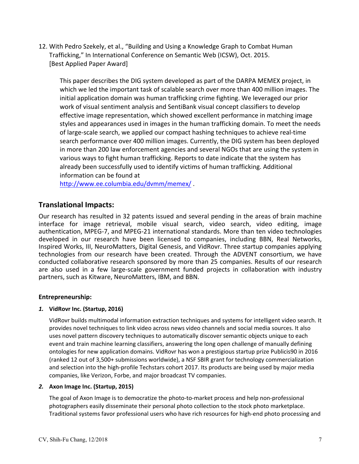12. With Pedro Szekely, et al., "Building and Using a Knowledge Graph to Combat Human Trafficking," In International Conference on Semantic Web (ICSW), Oct. 2015. [Best Applied Paper Award]

This paper describes the DIG system developed as part of the DARPA MEMEX project, in which we led the important task of scalable search over more than 400 million images. The initial application domain was human trafficking crime fighting. We leveraged our prior work of visual sentiment analysis and SentiBank visual concept classifiers to develop effective image representation, which showed excellent performance in matching image styles and appearances used in images in the human trafficking domain. To meet the needs of large‐scale search, we applied our compact hashing techniques to achieve real‐time search performance over 400 million images. Currently, the DIG system has been deployed in more than 200 law enforcement agencies and several NGOs that are using the system in various ways to fight human trafficking. Reports to date indicate that the system has already been successfully used to identify victims of human trafficking. Additional information can be found at

http://www.ee.columbia.edu/dvmm/memex/ .

#### **Translational Impacts:**

Our research has resulted in 32 patents issued and several pending in the areas of brain machine interface for image retrieval, mobile visual search, video search, video editing, image authentication, MPEG‐7, and MPEG‐21 international standards. More than ten video technologies developed in our research have been licensed to companies, including BBN, Real Networks, Inspired Works, III, NeuroMatters, Digital Genesis, and VidRovr. Three startup companies applying technologies from our research have been created. Through the ADVENT consortium, we have conducted collaborative research sponsored by more than 25 companies. Results of our research are also used in a few large-scale government funded projects in collaboration with industry partners, such as Kitware, NeuroMatters, IBM, and BBN.

#### **Entrepreneurship:**

#### *1.* **VidRovr Inc. (Startup, 2016)**

VidRovr builds multimodal information extraction techniques and systems for intelligent video search. It provides novel techniques to link video across news video channels and social media sources. It also uses novel pattern discovery techniques to automatically discover semantic objects unique to each event and train machine learning classifiers, answering the long open challenge of manually defining ontologies for new application domains. VidRovr has won a prestigious startup prize Publicis90 in 2016 (ranked 12 out of 3,500+ submissions worldwide), a NSF SBIR grant for technology commercialization and selection into the high‐profile Techstars cohort 2017. Its products are being used by major media companies, like Verizon, Forbe, and major broadcast TV companies.

#### *2.* **Axon Image Inc. (Startup, 2015)**

The goal of Axon Image is to democratize the photo-to-market process and help non-professional photographers easily disseminate their personal photo collection to the stock photo marketplace. Traditional systems favor professional users who have rich resources for high‐end photo processing and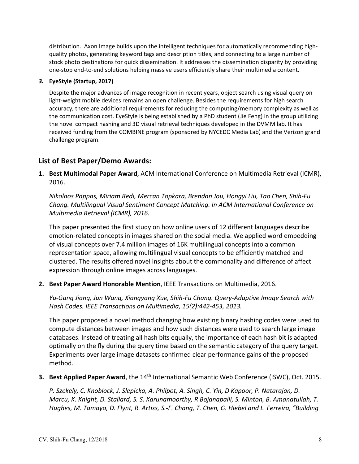distribution. Axon Image builds upon the intelligent techniques for automatically recommending high‐ quality photos, generating keyword tags and description titles, and connecting to a large number of stock photo destinations for quick dissemination. It addresses the dissemination disparity by providing one‐stop end‐to‐end solutions helping massive users efficiently share their multimedia content.

#### *3.* **EyeStyle (Startup, 2017)**

Despite the major advances of image recognition in recent years, object search using visual query on light-weight mobile devices remains an open challenge. Besides the requirements for high search accuracy, there are additional requirements for reducing the computing/memory complexity as well as the communication cost. EyeStyle is being established by a PhD student (Jie Feng) in the group utilizing the novel compact hashing and 3D visual retrieval techniques developed in the DVMM lab. It has received funding from the COMBINE program (sponsored by NYCEDC Media Lab) and the Verizon grand challenge program.

## **List of Best Paper/Demo Awards:**

**1. Best Multimodal Paper Award**, ACM International Conference on Multimedia Retrieval (ICMR), 2016.

*Nikolaos Pappas, Miriam Redi, Mercan Topkara, Brendan Jou, Hongyi Liu, Tao Chen, Shih‐Fu Chang. Multilingual Visual Sentiment Concept Matching. In ACM International Conference on Multimedia Retrieval (ICMR), 2016.* 

This paper presented the first study on how online users of 12 different languages describe emotion-related concepts in images shared on the social media. We applied word embedding of visual concepts over 7.4 million images of 16K multilingual concepts into a common representation space, allowing multilingual visual concepts to be efficiently matched and clustered. The results offered novel insights about the commonality and difference of affect expression through online images across languages.

**2. Best Paper Award Honorable Mention**, IEEE Transactions on Multimedia, 2016.

*Yu‐Gang Jiang, Jun Wang, Xiangyang Xue, Shih‐Fu Chang. Query‐Adaptive Image Search with Hash Codes. IEEE Transactions on Multimedia, 15(2):442‐453, 2013.* 

This paper proposed a novel method changing how existing binary hashing codes were used to compute distances between images and how such distances were used to search large image databases. Instead of treating all hash bits equally, the importance of each hash bit is adapted optimally on the fly during the query time based on the semantic category of the query target. Experiments over large image datasets confirmed clear performance gains of the proposed method.

**3. Best Applied Paper Award**, the 14<sup>th</sup> International Semantic Web Conference (ISWC), Oct. 2015.

*P. Szekely, C. Knoblock, J. Slepicka, A. Philpot, A. Singh, C. Yin, D Kapoor, P. Natarajan, D. Marcu, K. Knight, D. Stallard, S. S. Karunamoorthy, R Bojanapalli, S. Minton, B. Amanatullah, T. Hughes, M. Tamayo, D. Flynt, R. Artiss, S.‐F. Chang, T. Chen, G. Hiebel and L. Ferreira, "Building*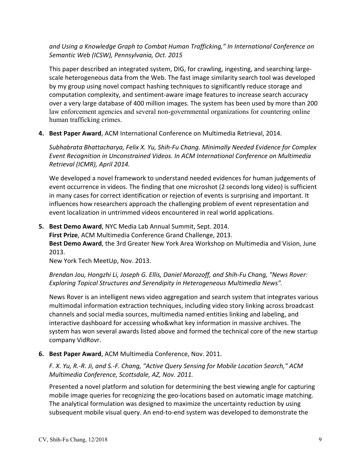*and Using a Knowledge Graph to Combat Human Trafficking," In International Conference on Semantic Web (ICSW), Pennsylvania, Oct. 2015* 

This paper described an integrated system, DIG, for crawling, ingesting, and searching large‐ scale heterogeneous data from the Web. The fast image similarity search tool was developed by my group using novel compact hashing techniques to significantly reduce storage and computation complexity, and sentiment‐aware image features to increase search accuracy over a very large database of 400 million images. The system has been used by more than 200 law enforcement agencies and several non-governmental organizations for countering online human trafficking crimes.

**4. Best Paper Award**, ACM International Conference on Multimedia Retrieval, 2014.

*Subhabrata Bhattacharya, Felix X. Yu, Shih‐Fu Chang. Minimally Needed Evidence for Complex Event Recognition in Unconstrained Videos. In ACM International Conference on Multimedia Retrieval (ICMR), April 2014.* 

We developed a novel framework to understand needed evidences for human judgements of event occurrence in videos. The finding that one microshot (2 seconds long video) is sufficient in many cases for correct identification or rejection of events is surprising and important. It influences how researchers approach the challenging problem of event representation and event localization in untrimmed videos encountered in real world applications.

**5. Best Demo Award**, NYC Media Lab Annual Summit, Sept. 2014.

**First Prize**, ACM Multimedia Conference Grand Challenge, 2013.

**Best Demo Award**, the 3rd Greater New York Area Workshop on Multimedia and Vision, June 2013.

New York Tech MeetUp, Nov. 2013.

*Brendan Jou, Hongzhi Li, Joseph G. Ellis, Daniel Morozoff, and Shih‐Fu Chang, "News Rover: Exploring Topical Structures and Serendipity in Heterogeneous Multimedia News".* 

News Rover is an intelligent news video aggregation and search system that integrates various multimodal information extraction techniques, including video story linking across broadcast channels and social media sources, multimedia named entities linking and labeling, and interactive dashboard for accessing who&what key information in massive archives. The system has won several awards listed above and formed the technical core of the new startup company VidRovr.

**6. Best Paper Award**, ACM Multimedia Conference, Nov. 2011.

*F. X. Yu, R.‐R. Ji, and S.‐F. Chang, "Active Query Sensing for Mobile Location Search," ACM Multimedia Conference, Scottsdale, AZ, Nov. 2011.* 

Presented a novel platform and solution for determining the best viewing angle for capturing mobile image queries for recognizing the geo-locations based on automatic image matching. The analytical formulation was designed to maximize the uncertainty reduction by using subsequent mobile visual query. An end-to-end system was developed to demonstrate the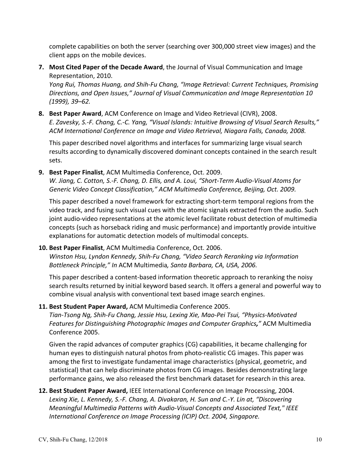complete capabilities on both the server (searching over 300,000 street view images) and the client apps on the mobile devices.

**7. Most Cited Paper of the Decade Award**, the Journal of Visual Communication and Image Representation, 2010.

*Yong Rui, Thomas Huang, and Shih‐Fu Chang, "Image Retrieval: Current Techniques, Promising Directions, and Open Issues," Journal of Visual Communication and Image Representation 10 (1999), 39–62.*

**8. Best Paper Award**, ACM Conference on Image and Video Retrieval (CIVR), 2008. *E. Zavesky, S.‐F. Chang, C.‐C. Yang, "Visual Islands: Intuitive Browsing of Visual Search Results," ACM International Conference on Image and Video Retrieval, Niagara Falls, Canada, 2008.*

This paper described novel algorithms and interfaces for summarizing large visual search results according to dynamically discovered dominant concepts contained in the search result sets.

**9. Best Paper Finalist**, ACM Multimedia Conference, Oct. 2009.

*W. Jiang, C. Cotton, S.‐F. Chang, D. Ellis, and A. Loui, "Short‐Term Audio‐Visual Atoms for Generic Video Concept Classification," ACM Multimedia Conference, Beijing, Oct. 2009.*

This paper described a novel framework for extracting short‐term temporal regions from the video track, and fusing such visual cues with the atomic signals extracted from the audio. Such joint audio‐video representations at the atomic level facilitate robust detection of multimedia concepts (such as horseback riding and music performance) and importantly provide intuitive explanations for automatic detection models of multimodal concepts.

**10. Best Paper Finalist**, ACM Multimedia Conference, Oct. 2006. *Winston Hsu, Lyndon Kennedy, Shih‐Fu Chang, "Video Search Reranking via Information Bottleneck Principle," In* ACM Multimedia*, Santa Barbara, CA, USA, 2006.*

This paper described a content‐based information theoretic approach to reranking the noisy search results returned by initial keyword based search. It offers a general and powerful way to combine visual analysis with conventional text based image search engines.

**11. Best Student Paper Award,** ACM Multimedia Conference 2005.

*Tian‐Tsong Ng, Shih‐Fu Chang, Jessie Hsu, Lexing Xie, Mao‐Pei Tsui, "Physics‐Motivated Features for Distinguishing Photographic Images and Computer Graphics,"* ACM Multimedia Conference 2005.

Given the rapid advances of computer graphics (CG) capabilities, it became challenging for human eyes to distinguish natural photos from photo-realistic CG images. This paper was among the first to investigate fundamental image characteristics (physical, geometric, and statistical) that can help discriminate photos from CG images. Besides demonstrating large performance gains, we also released the first benchmark dataset for research in this area.

**12. Best Student Paper Award,** IEEE International Conference on Image Processing, 2004. *Lexing Xie, L. Kennedy, S.‐F. Chang, A. Divakaran, H. Sun and C.‐Y. Lin at, "Discovering Meaningful Multimedia Patterns with Audio‐Visual Concepts and Associated Text," IEEE International Conference on Image Processing (ICIP) Oct. 2004, Singapore.*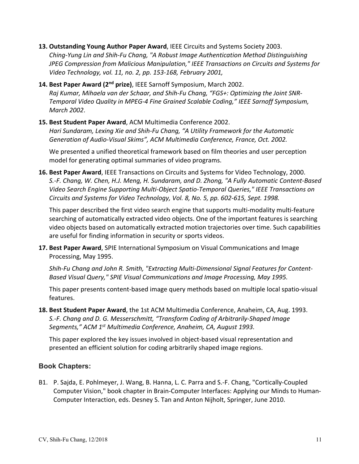- **13. Outstanding Young Author Paper Award**, IEEE Circuits and Systems Society 2003. *Ching‐Yung Lin and Shih‐Fu Chang, "A Robust Image Authentication Method Distinguishing JPEG Compression from Malicious Manipulation," IEEE Transactions on Circuits and Systems for Video Technology, vol. 11, no. 2, pp. 153‐168, February 2001,*
- **14. Best Paper Award (2nd prize)**, IEEE Sarnoff Symposium, March 2002. *Raj Kumar, Mihaela van der Schaar, and Shih‐Fu Chang, "FGS+: Optimizing the Joint SNR‐ Temporal Video Quality in MPEG‐4 Fine Grained Scalable Coding," IEEE Sarnoff Symposium, March 2002*.
- **15. Best Student Paper Award**, ACM Multimedia Conference 2002. *Hari Sundaram, Lexing Xie and Shih‐Fu Chang, "A Utility Framework for the Automatic Generation of Audio‐Visual Skims", ACM Multimedia Conference, France, Oct. 2002.*

We presented a unified theoretical framework based on film theories and user perception model for generating optimal summaries of video programs.

**16. Best Paper Award**, IEEE Transactions on Circuits and Systems for Video Technology, 2000. *S.‐F. Chang, W. Chen, H.J. Meng, H. Sundaram, and D. Zhong, "A Fully Automatic Content‐Based Video Search Engine Supporting Multi‐Object Spatio‐Temporal Queries," IEEE Transactions on Circuits and Systems for Video Technology, Vol. 8, No. 5, pp. 602‐615, Sept. 1998.*

This paper described the first video search engine that supports multi-modality multi-feature searching of automatically extracted video objects. One of the important features is searching video objects based on automatically extracted motion trajectories over time. Such capabilities are useful for finding information in security or sports videos.

**17. Best Paper Award**, SPIE International Symposium on Visual Communications and Image Processing, May 1995.

*Shih‐Fu Chang and John R. Smith, "Extracting Multi‐Dimensional Signal Features for Content‐ Based Visual Query," SPIE Visual Communications and Image Processing, May 1995.*

This paper presents content‐based image query methods based on multiple local spatio‐visual features.

**18. Best Student Paper Award**, the 1st ACM Multimedia Conference, Anaheim, CA, Aug. 1993. *S.‐F. Chang and D. G. Messerschmitt, "Transform Coding of Arbitrarily‐Shaped Image Segments," ACM 1st Multimedia Conference, Anaheim, CA, August 1993.* 

This paper explored the key issues involved in object‐based visual representation and presented an efficient solution for coding arbitrarily shaped image regions.

### **Book Chapters:**

B1. P. Sajda, E. Pohlmeyer, J. Wang, B. Hanna, L. C. Parra and S.‐F. Chang, "Cortically‐Coupled Computer Vision," book chapter in Brain‐Computer Interfaces: Applying our Minds to Human‐ Computer Interaction, eds. Desney S. Tan and Anton Nijholt, Springer, June 2010.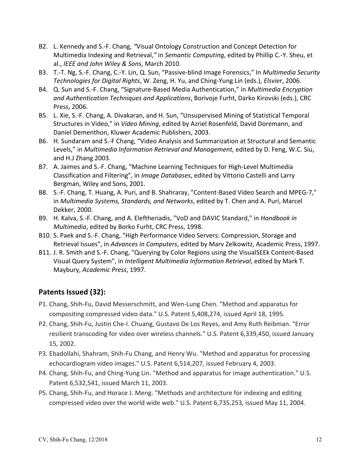- B2. L. Kennedy and S.‐F. Chang, *"*Visual Ontology Construction and Concept Detection for Multimedia Indexing and Retrieval,*"* in *Semantic Computing,* edited by Phillip C.‐Y. Sheu, et al., *IEEE and John Wiley & Sons*, March 2010.
- B3. T.‐T. Ng, S.‐F. Chang, C.‐Y. Lin, Q. Sun, "Passive‐blind Image Forensics," In *Multimedia Security Technologies for Digital Rights*, W. Zeng, H. Yu, and Ching‐Yung Lin (eds.), *Elsvier*, 2006.
- B4. Q. Sun and S.‐F. Chang, "Signature‐Based Media Authentication," in *Multimedia Encryption and Authentication Techniques and Applications*, Borivoje Furht, Darko Kirovski (eds.), CRC Press, 2006.
- B5. L. Xie, S.‐F. Chang, A. Divakaran, and H. Sun, "Unsupervised Mining of Statistical Temporal Structures in Video," in *Video Mining*, edited by Azriel Rosenfeld, David Doremann, and Daniel Dementhon, Kluwer Academic Publishers, 2003.
- B6. H. Sundaram and S.‐F Chang, "Video Analysis and Summarization at Structural and Semantic Levels," in *Multimedia Information Retrieval and Management,* edited by D. Feng, W.C. Siu, and H.J Zhang 2003.
- B7. A. Jaimes and S.‐F. Chang, "Machine Learning Techniques for High‐Level Multimedia Classification and Filtering", in *Image Databases*, edited by Vittorio Castelli and Larry Bergman, Wiley and Sons, 2001.
- B8. S.-F. Chang, T. Huang, A. Puri, and B. Shahraray, "Content-Based Video Search and MPEG-7," in *Multimedia Systems, Standards, and Networks*, edited by T. Chen and A. Puri, Marcel Dekker, 2000.
- B9. H. Kalva, S.‐F. Chang, and A. Eleftheriadis, "VoD and DAVIC Standard," in *Handbook in Multimedia*, edited by Borko Furht, CRC Press, 1998.
- B10. S. Paek and S.‐F. Chang, "High Performance Video Servers: Compression, Storage and Retrieval Issues", in *Advances in Computers*, edited by Marv Zelkowitz, Academic Press, 1997.
- B11. J. R. Smith and S.‐F. Chang, "Querying by Color Regions using the VisualSEEk Content‐Based Visual Query System", in *Intelligent Multimedia Information Retrieval*, edited by Mark T. Maybury, *Academic Press*, 1997.

## **Patents Issued (32):**

- P1. Chang, Shih‐Fu, David Messerschmitt, and Wen‐Lung Chen. "Method and apparatus for compositing compressed video data." U.S. Patent 5,408,274, issued April 18, 1995.
- P2. Chang, Shih‐Fu, Justin Che‐I. Chuang, Gustavo De Los Reyes, and Amy Ruth Reibman. "Error resilient transcoding for video over wireless channels." U.S. Patent 6,339,450, issued January 15, 2002.
- P3. Ebadollahi, Shahram, Shih‐Fu Chang, and Henry Wu. "Method and apparatus for processing echocardiogram video images." U.S. Patent 6,514,207, issued February 4, 2003.
- P4. Chang, Shih‐Fu, and Ching‐Yung Lin. "Method and apparatus for image authentication." U.S. Patent 6,532,541, issued March 11, 2003.
- P5. Chang, Shih‐Fu, and Horace J. Meng. "Methods and architecture for indexing and editing compressed video over the world wide web." U.S. Patent 6,735,253, issued May 11, 2004.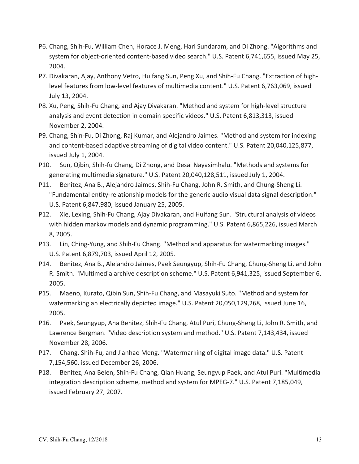- P6. Chang, Shih‐Fu, William Chen, Horace J. Meng, Hari Sundaram, and Di Zhong. "Algorithms and system for object‐oriented content‐based video search." U.S. Patent 6,741,655, issued May 25, 2004.
- P7. Divakaran, Ajay, Anthony Vetro, Huifang Sun, Peng Xu, and Shih‐Fu Chang. "Extraction of high‐ level features from low‐level features of multimedia content." U.S. Patent 6,763,069, issued July 13, 2004.
- P8. Xu, Peng, Shih‐Fu Chang, and Ajay Divakaran. "Method and system for high‐level structure analysis and event detection in domain specific videos." U.S. Patent 6,813,313, issued November 2, 2004.
- P9. Chang, Shin‐Fu, Di Zhong, Raj Kumar, and Alejandro Jaimes. "Method and system for indexing and content‐based adaptive streaming of digital video content." U.S. Patent 20,040,125,877, issued July 1, 2004.
- P10. Sun, Qibin, Shih‐fu Chang, Di Zhong, and Desai Nayasimhalu. "Methods and systems for generating multimedia signature." U.S. Patent 20,040,128,511, issued July 1, 2004.
- P11. Benitez, Ana B., Alejandro Jaimes, Shih‐Fu Chang, John R. Smith, and Chung‐Sheng Li. "Fundamental entity‐relationship models for the generic audio visual data signal description." U.S. Patent 6,847,980, issued January 25, 2005.
- P12. Xie, Lexing, Shih‐Fu Chang, Ajay Divakaran, and Huifang Sun. "Structural analysis of videos with hidden markov models and dynamic programming." U.S. Patent 6,865,226, issued March 8, 2005.
- P13. Lin, Ching-Yung, and Shih-Fu Chang. "Method and apparatus for watermarking images." U.S. Patent 6,879,703, issued April 12, 2005.
- P14. Benitez, Ana B., Alejandro Jaimes, Paek Seungyup, Shih‐Fu Chang, Chung‐Sheng Li, and John R. Smith. "Multimedia archive description scheme." U.S. Patent 6,941,325, issued September 6, 2005.
- P15. Maeno, Kurato, Qibin Sun, Shih‐Fu Chang, and Masayuki Suto. "Method and system for watermarking an electrically depicted image." U.S. Patent 20,050,129,268, issued June 16, 2005.
- P16. Paek, Seungyup, Ana Benitez, Shih‐Fu Chang, Atul Puri, Chung‐Sheng Li, John R. Smith, and Lawrence Bergman. "Video description system and method." U.S. Patent 7,143,434, issued November 28, 2006.
- P17. Chang, Shih‐Fu, and Jianhao Meng. "Watermarking of digital image data." U.S. Patent 7,154,560, issued December 26, 2006.
- P18. Benitez, Ana Belen, Shih‐Fu Chang, Qian Huang, Seungyup Paek, and Atul Puri. "Multimedia integration description scheme, method and system for MPEG‐7." U.S. Patent 7,185,049, issued February 27, 2007.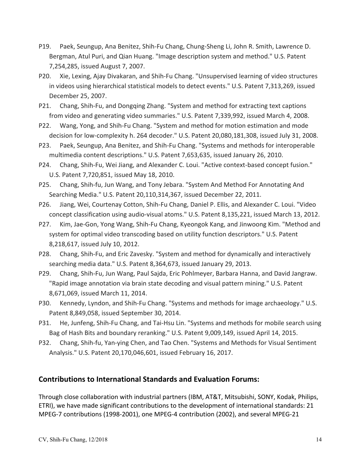- P19. Paek, Seungup, Ana Benitez, Shih‐Fu Chang, Chung‐Sheng Li, John R. Smith, Lawrence D. Bergman, Atul Puri, and Qian Huang. "Image description system and method." U.S. Patent 7,254,285, issued August 7, 2007.
- P20. Xie, Lexing, Ajay Divakaran, and Shih‐Fu Chang. "Unsupervised learning of video structures in videos using hierarchical statistical models to detect events." U.S. Patent 7,313,269, issued December 25, 2007.
- P21. Chang, Shih‐Fu, and Dongqing Zhang. "System and method for extracting text captions from video and generating video summaries." U.S. Patent 7,339,992, issued March 4, 2008.
- P22. Wang, Yong, and Shih‐Fu Chang. "System and method for motion estimation and mode decision for low-complexity h. 264 decoder." U.S. Patent 20,080,181,308, issued July 31, 2008.
- P23. Paek, Seungup, Ana Benitez, and Shih‐Fu Chang. "Systems and methods for interoperable multimedia content descriptions." U.S. Patent 7,653,635, issued January 26, 2010.
- P24. Chang, Shih‐Fu, Wei Jiang, and Alexander C. Loui. "Active context‐based concept fusion." U.S. Patent 7,720,851, issued May 18, 2010.
- P25. Chang, Shih-fu, Jun Wang, and Tony Jebara. "System And Method For Annotating And Searching Media." U.S. Patent 20,110,314,367, issued December 22, 2011.
- P26. Jiang, Wei, Courtenay Cotton, Shih‐Fu Chang, Daniel P. Ellis, and Alexander C. Loui. "Video concept classification using audio‐visual atoms." U.S. Patent 8,135,221, issued March 13, 2012.
- P27. Kim, Jae‐Gon, Yong Wang, Shih‐Fu Chang, Kyeongok Kang, and Jinwoong Kim. "Method and system for optimal video transcoding based on utility function descriptors." U.S. Patent 8,218,617, issued July 10, 2012.
- P28. Chang, Shih‐Fu, and Eric Zavesky. "System and method for dynamically and interactively searching media data." U.S. Patent 8,364,673, issued January 29, 2013.
- P29. Chang, Shih‐Fu, Jun Wang, Paul Sajda, Eric Pohlmeyer, Barbara Hanna, and David Jangraw. "Rapid image annotation via brain state decoding and visual pattern mining." U.S. Patent 8,671,069, issued March 11, 2014.
- P30. Kennedy, Lyndon, and Shih‐Fu Chang. "Systems and methods for image archaeology." U.S. Patent 8,849,058, issued September 30, 2014.
- P31. He, Junfeng, Shih‐Fu Chang, and Tai‐Hsu Lin. "Systems and methods for mobile search using Bag of Hash Bits and boundary reranking." U.S. Patent 9,009,149, issued April 14, 2015.
- P32. Chang, Shih‐fu, Yan‐ying Chen, and Tao Chen. "Systems and Methods for Visual Sentiment Analysis." U.S. Patent 20,170,046,601, issued February 16, 2017.

### **Contributions to International Standards and Evaluation Forums:**

Through close collaboration with industrial partners (IBM, AT&T, Mitsubishi, SONY, Kodak, Philips, ETRI), we have made significant contributions to the development of international standards: 21 MPEG‐7 contributions (1998‐2001), one MPEG‐4 contribution (2002), and several MPEG‐21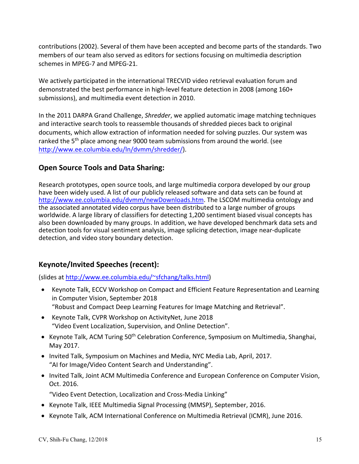contributions (2002). Several of them have been accepted and become parts of the standards. Two members of our team also served as editors for sections focusing on multimedia description schemes in MPEG‐7 and MPEG‐21.

We actively participated in the international TRECVID video retrieval evaluation forum and demonstrated the best performance in high‐level feature detection in 2008 (among 160+ submissions), and multimedia event detection in 2010.

In the 2011 DARPA Grand Challenge, *Shredder*, we applied automatic image matching techniques and interactive search tools to reassemble thousands of shredded pieces back to original documents, which allow extraction of information needed for solving puzzles. Our system was ranked the 5<sup>th</sup> place among near 9000 team submissions from around the world. (see http://www.ee.columbia.edu/ln/dvmm/shredder/).

## **Open Source Tools and Data Sharing:**

Research prototypes, open source tools, and large multimedia corpora developed by our group have been widely used. A list of our publicly released software and data sets can be found at http://www.ee.columbia.edu/dvmm/newDownloads.htm. The LSCOM multimedia ontology and the associated annotated video corpus have been distributed to a large number of groups worldwide. A large library of classifiers for detecting 1,200 sentiment biased visual concepts has also been downloaded by many groups. In addition, we have developed benchmark data sets and detection tools for visual sentiment analysis, image splicing detection, image near‐duplicate detection, and video story boundary detection.

## **Keynote/Invited Speeches (recent):**

(slides at http://www.ee.columbia.edu/~sfchang/talks.html)

- Keynote Talk, ECCV Workshop on Compact and Efficient Feature Representation and Learning in Computer Vision, September 2018 "Robust and Compact Deep Learning Features for Image Matching and Retrieval".
- Keynote Talk, CVPR Workshop on ActivityNet, June 2018 "Video Event Localization, Supervision, and Online Detection".
- Keynote Talk, ACM Turing 50<sup>th</sup> Celebration Conference, Symposium on Multimedia, Shanghai, May 2017.
- Invited Talk, Symposium on Machines and Media, NYC Media Lab, April, 2017. "AI for Image/Video Content Search and Understanding".
- Invited Talk, Joint ACM Multimedia Conference and European Conference on Computer Vision, Oct. 2016.

"Video Event Detection, Localization and Cross‐Media Linking"

- Keynote Talk, IEEE Multimedia Signal Processing (MMSP), September, 2016.
- Keynote Talk, ACM International Conference on Multimedia Retrieval (ICMR), June 2016.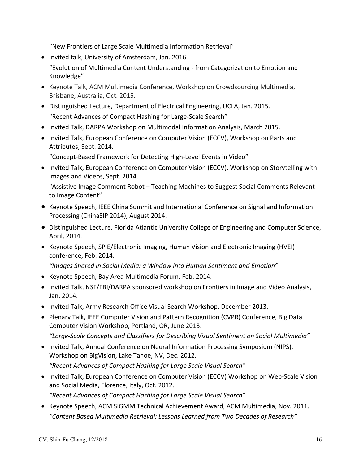"New Frontiers of Large Scale Multimedia Information Retrieval"

- Invited talk, University of Amsterdam, Jan. 2016. "Evolution of Multimedia Content Understanding ‐ from Categorization to Emotion and Knowledge"
- Keynote Talk, ACM Multimedia Conference, Workshop on Crowdsourcing Multimedia, Brisbane, Australia, Oct. 2015.
- Distinguished Lecture, Department of Electrical Engineering, UCLA, Jan. 2015. "Recent Advances of Compact Hashing for Large‐Scale Search"
- Invited Talk, DARPA Workshop on Multimodal Information Analysis, March 2015.
- Invited Talk, European Conference on Computer Vision (ECCV), Workshop on Parts and Attributes, Sept. 2014.

"Concept‐Based Framework for Detecting High‐Level Events in Video"

• Invited Talk, European Conference on Computer Vision (ECCV), Workshop on Storytelling with Images and Videos, Sept. 2014.

"Assistive Image Comment Robot – Teaching Machines to Suggest Social Comments Relevant to Image Content"

- Keynote Speech, IEEE China Summit and International Conference on Signal and Information Processing (ChinaSIP 2014), August 2014.
- Distinguished Lecture, Florida Atlantic University College of Engineering and Computer Science, April, 2014.
- Keynote Speech, SPIE/Electronic Imaging, Human Vision and Electronic Imaging (HVEI) conference, Feb. 2014.

*"Images Shared in Social Media: a Window into Human Sentiment and Emotion"* 

- Keynote Speech, Bay Area Multimedia Forum, Feb. 2014.
- Invited Talk, NSF/FBI/DARPA sponsored workshop on Frontiers in Image and Video Analysis, Jan. 2014.
- Invited Talk, Army Research Office Visual Search Workshop, December 2013.
- Plenary Talk, IEEE Computer Vision and Pattern Recognition (CVPR) Conference, Big Data Computer Vision Workshop, Portland, OR, June 2013. *"Large‐Scale Concepts and Classifiers for Describing Visual Sentiment on Social Multimedia"*
- Invited Talk, Annual Conference on Neural Information Processing Symposium (NIPS), Workshop on BigVision, Lake Tahoe, NV, Dec. 2012. *"Recent Advances of Compact Hashing for Large Scale Visual Search"*
- Invited Talk, European Conference on Computer Vision (ECCV) Workshop on Web-Scale Vision and Social Media, Florence, Italy, Oct. 2012.

*"Recent Advances of Compact Hashing for Large Scale Visual Search"*

• Keynote Speech, ACM SIGMM Technical Achievement Award, ACM Multimedia, Nov. 2011. *"Content Based Multimedia Retrieval: Lessons Learned from Two Decades of Research"*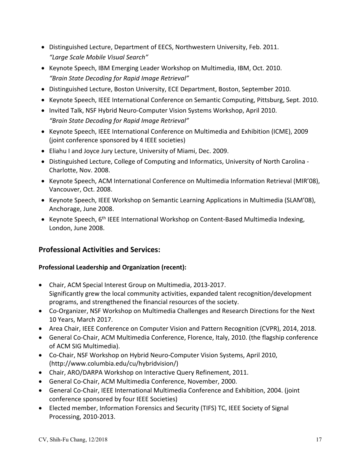- Distinguished Lecture, Department of EECS, Northwestern University, Feb. 2011. *"Large Scale Mobile Visual Search"*
- Keynote Speech, IBM Emerging Leader Workshop on Multimedia, IBM, Oct. 2010. *"Brain State Decoding for Rapid Image Retrieval"*
- Distinguished Lecture, Boston University, ECE Department, Boston, September 2010.
- Keynote Speech, IEEE International Conference on Semantic Computing, Pittsburg, Sept. 2010.
- Invited Talk, NSF Hybrid Neuro-Computer Vision Systems Workshop, April 2010. *"Brain State Decoding for Rapid Image Retrieval"*
- Keynote Speech, IEEE International Conference on Multimedia and Exhibition (ICME), 2009 (joint conference sponsored by 4 IEEE societies)
- Eliahu I and Joyce Jury Lecture, University of Miami, Dec. 2009.
- Distinguished Lecture, College of Computing and Informatics, University of North Carolina -Charlotte, Nov. 2008.
- Keynote Speech, ACM International Conference on Multimedia Information Retrieval (MIR'08), Vancouver, Oct. 2008.
- Keynote Speech, IEEE Workshop on Semantic Learning Applications in Multimedia (SLAM'08), Anchorage, June 2008.
- Keynote Speech, 6<sup>th</sup> IEEE International Workshop on Content-Based Multimedia Indexing, London, June 2008.

### **Professional Activities and Services:**

#### **Professional Leadership and Organization (recent):**

- Chair, ACM Special Interest Group on Multimedia, 2013‐2017. Significantly grew the local community activities, expanded talent recognition/development programs, and strengthened the financial resources of the society.
- Co-Organizer, NSF Workshop on Multimedia Challenges and Research Directions for the Next 10 Years, March 2017.
- Area Chair, IEEE Conference on Computer Vision and Pattern Recognition (CVPR), 2014, 2018.
- General Co-Chair, ACM Multimedia Conference, Florence, Italy, 2010. (the flagship conference of ACM SIG Multimedia).
- Co-Chair, NSF Workshop on Hybrid Neuro-Computer Vision Systems, April 2010, (http://www.columbia.edu/cu/hybridvision/)
- Chair, ARO/DARPA Workshop on Interactive Query Refinement, 2011.
- General Co-Chair, ACM Multimedia Conference, November, 2000.
- General Co-Chair, IEEE International Multimedia Conference and Exhibition, 2004. (joint conference sponsored by four IEEE Societies)
- Elected member, Information Forensics and Security (TIFS) TC, IEEE Society of Signal Processing, 2010‐2013.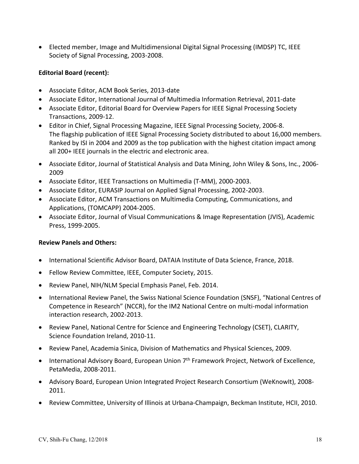Elected member, Image and Multidimensional Digital Signal Processing (IMDSP) TC, IEEE Society of Signal Processing, 2003‐2008.

#### **Editorial Board (recent):**

- Associate Editor, ACM Book Series, 2013‐date
- Associate Editor, International Journal of Multimedia Information Retrieval, 2011‐date
- Associate Editor, Editorial Board for Overview Papers for IEEE Signal Processing Society Transactions, 2009‐12.
- Editor in Chief, Signal Processing Magazine, IEEE Signal Processing Society, 2006‐8. The flagship publication of IEEE Signal Processing Society distributed to about 16,000 members. Ranked by ISI in 2004 and 2009 as the top publication with the highest citation impact among all 200+ IEEE journals in the electric and electronic area.
- Associate Editor, Journal of Statistical Analysis and Data Mining, John Wiley & Sons, Inc., 2006‐ 2009
- Associate Editor, IEEE Transactions on Multimedia (T‐MM), 2000‐2003.
- Associate Editor, EURASIP Journal on Applied Signal Processing, 2002‐2003.
- Associate Editor, ACM Transactions on Multimedia Computing, Communications, and Applications, (TOMCAPP) 2004‐2005.
- Associate Editor, Journal of Visual Communications & Image Representation (JVIS), Academic Press, 1999‐2005.

#### **Review Panels and Others:**

- International Scientific Advisor Board, DATAIA Institute of Data Science, France, 2018.
- Fellow Review Committee, IEEE, Computer Society, 2015.
- Review Panel, NIH/NLM Special Emphasis Panel, Feb. 2014.
- International Review Panel, the Swiss National Science Foundation (SNSF), "National Centres of Competence in Research" (NCCR), for the IM2 National Centre on multi‐modal information interaction research, 2002‐2013.
- Review Panel, National Centre for Science and Engineering Technology (CSET), CLARITY, Science Foundation Ireland, 2010‐11.
- Review Panel, Academia Sinica, Division of Mathematics and Physical Sciences, 2009.
- International Advisory Board, European Union 7<sup>th</sup> Framework Project, Network of Excellence, PetaMedia, 2008‐2011.
- Advisory Board, European Union Integrated Project Research Consortium (WeKnowIt), 2008– 2011.
- Review Committee, University of Illinois at Urbana‐Champaign, Beckman Institute, HCII, 2010.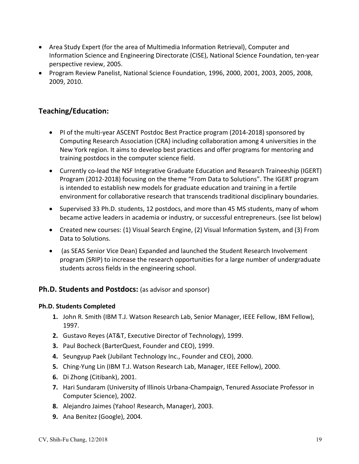- Area Study Expert (for the area of Multimedia Information Retrieval), Computer and Information Science and Engineering Directorate (CISE), National Science Foundation, ten‐year perspective review, 2005.
- Program Review Panelist, National Science Foundation, 1996, 2000, 2001, 2003, 2005, 2008, 2009, 2010.

## **Teaching/Education:**

- PI of the multi‐year ASCENT Postdoc Best Practice program (2014‐2018) sponsored by Computing Research Association (CRA) including collaboration among 4 universities in the New York region. It aims to develop best practices and offer programs for mentoring and training postdocs in the computer science field.
- Currently co-lead the NSF Integrative Graduate Education and Research Traineeship (IGERT) Program (2012‐2018) focusing on the theme "From Data to Solutions". The IGERT program is intended to establish new models for graduate education and training in a fertile environment for collaborative research that transcends traditional disciplinary boundaries.
- Supervised 33 Ph.D. students, 12 postdocs, and more than 45 MS students, many of whom became active leaders in academia or industry, or successful entrepreneurs. (see list below)
- Created new courses: (1) Visual Search Engine, (2) Visual Information System, and (3) From Data to Solutions.
- (as SEAS Senior Vice Dean) Expanded and launched the Student Research Involvement program (SRIP) to increase the research opportunities for a large number of undergraduate students across fields in the engineering school.

### **Ph.D. Students and Postdocs:** (as advisor and sponsor)

#### **Ph.D. Students Completed**

- **1.** John R. Smith (IBM T.J. Watson Research Lab, Senior Manager, IEEE Fellow, IBM Fellow), 1997.
- **2.** Gustavo Reyes (AT&T, Executive Director of Technology), 1999.
- **3.** Paul Bocheck (BarterQuest, Founder and CEO), 1999.
- **4.** Seungyup Paek (Jubilant Technology Inc., Founder and CEO), 2000.
- **5.** Ching‐Yung Lin (IBM T.J. Watson Research Lab, Manager, IEEE Fellow), 2000.
- **6.** Di Zhong (Citibank), 2001.
- **7.** Hari Sundaram (University of Illinois Urbana‐Champaign, Tenured Associate Professor in Computer Science), 2002.
- **8.** Alejandro Jaimes (Yahoo! Research, Manager), 2003.
- **9.** Ana Benitez (Google), 2004.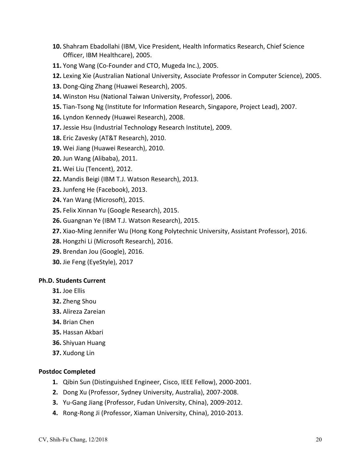- **10.** Shahram Ebadollahi (IBM, Vice President, Health Informatics Research, Chief Science Officer, IBM Healthcare), 2005.
- **11.** Yong Wang (Co‐Founder and CTO, Mugeda Inc.), 2005.
- **12.** Lexing Xie (Australian National University, Associate Professor in Computer Science), 2005.
- **13.** Dong‐Qing Zhang (Huawei Research), 2005.
- **14.** Winston Hsu (National Taiwan University, Professor), 2006.
- **15.** Tian‐Tsong Ng (Institute for Information Research, Singapore, Project Lead), 2007.
- **16.** Lyndon Kennedy (Huawei Research), 2008.
- **17.** Jessie Hsu (Industrial Technology Research Institute), 2009.
- **18.** Eric Zavesky (AT&T Research), 2010.
- **19.** Wei Jiang (Huawei Research), 2010.
- **20.** Jun Wang (Alibaba), 2011.
- **21.** Wei Liu (Tencent), 2012.
- **22.** Mandis Beigi (IBM T.J. Watson Research), 2013.
- **23.** Junfeng He (Facebook), 2013.
- **24.** Yan Wang (Microsoft), 2015.
- **25.** Felix Xinnan Yu (Google Research), 2015.
- **26.** Guangnan Ye (IBM T.J. Watson Research), 2015.
- **27.** Xiao‐Ming Jennifer Wu (Hong Kong Polytechnic University, Assistant Professor), 2016.
- **28.** Hongzhi Li (Microsoft Research), 2016.
- **29.** Brendan Jou (Google), 2016.
- **30.** Jie Feng (EyeStyle), 2017

#### **Ph.D. Students Current**

- **31.** Joe Ellis
- **32.** Zheng Shou
- **33.** Alireza Zareian
- **34.** Brian Chen
- **35.** Hassan Akbari
- **36.** Shiyuan Huang
- **37.** Xudong Lin

#### **Postdoc Completed**

- **1.** Qibin Sun (Distinguished Engineer, Cisco, IEEE Fellow), 2000‐2001.
- **2.** Dong Xu (Professor, Sydney University, Australia), 2007‐2008.
- **3.** Yu‐Gang Jiang (Professor, Fudan University, China), 2009‐2012.
- **4.** Rong‐Rong Ji (Professor, Xiaman University, China), 2010‐2013.